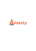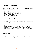# **Shipping Table Rates**

Generate multiple shipping methods: flat rates, table rates, etc. Use combinations of address, weight, price, and quantity to calculate shipping.

- Specific rates for a product or a group of products
- Product type based rates
- Flat and percent rates; quantity and weight-based rates, etc.
- Automatic import and manual editing of shipping rates
- Estimated delivery dates display
- Support of Magento discount functionality

## **Troubleshooting checklist**

- 1. If Shipping Table Rates methods are not appearing, please make sure that the shipping carrier is enabled in Magento settings at **System > Configuration > Sales > Shipping Methods > Shipping Table Rates > Enabled**
- 2. Also please make sure that you've configured rates for all Shipping Types you have in the cart in the **same shipping method**. The shipping method will be displayed only if there are rates for all Shipping Types in the cart. You can try adding a new rate in the method without any conditions and with Shipping Types set to "All" to check if that was the problem or not.
- 3. Rates are not summing up even if the setting in the shipping method is set to "Sum up rates"? Please make sure that the rates you want to be summed up are in the same shipping method. This setting determines what will happen to rates that have different Shipping Types in the same shipping method. All shipping methods you create work independently.

## <span id="page-1-0"></span>**Shipping Type**

**Shipping Type** is a complex feature which allows the creation of flexible shipping rate calculations. We have an additional article describing how the feature works with some useful examples. Check the article **[here](https://blog.amasty.com/little-known-amasty-extensions-features-shipping-type-in-shipping-table-rates/)**.

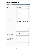## **General extension settings**

| <b>Shipping Table Rates</b>                       |                                                            | Δ            |
|---------------------------------------------------|------------------------------------------------------------|--------------|
| Enabled                                           | Yes                                                        | ✓            |
| Title                                             | <b>Shipping Table Rates</b>                                |              |
| Ship to applicable countries                      | All Allowed Countries                                      | ✓            |
| Ship to Specific countries                        | Afghanistan                                                | ۸            |
|                                                   | Albania                                                    |              |
|                                                   | Algeria                                                    |              |
|                                                   | American Samoa                                             |              |
|                                                   | Andorra                                                    |              |
|                                                   | Angola                                                     |              |
|                                                   | Anguilla                                                   |              |
|                                                   | Antarctica                                                 |              |
|                                                   | Antigua and Barbuda                                        |              |
|                                                   | Argentina                                                  | ٧            |
|                                                   |                                                            | a.           |
| Allow Free Shipping Promotions                    | Yes                                                        | ✓            |
| Ignore Price and Quantity of                      | Yes                                                        |              |
| <b>Virtual Products</b>                           |                                                            |              |
| Compare post codes as                             | Numbers, e.g. from 111 to 222 or from AB2 to Al $\backsim$ |              |
| Use price AFTER discount                          | No                                                         | $\checkmark$ |
| Use price INCLUDING tax                           | No                                                         | ✓            |
| Sort order                                        | 100                                                        |              |
| Use only one shipping type for<br>shipping method | No                                                         | ✓            |
| Show Method if Not Applicable                     | <b>No</b>                                                  | $\checkmark$ |
| Shipping Type for configurable<br>products        | From associated products                                   | ✓            |
| Shipping Type for bundle<br>products:             | As in "Ship Bundle Items" setting                          | $\checkmark$ |

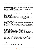- **Enabled** the option enables and disables a shipping carrier completely for the selected store view.
- **Title** the title of shipping carrier which will be displayed above the list with shipping methods.
- **Ship to applicable countries** can be set to display shipping carrier methods only for selected countries.
- **Ship to Specific countries** if the setting above is set to **Specific Countries** you will be able to specify the list of countries here.
- **Displayed Error Message** an error message which will be displayed when no shipping method from the carrier can be applied to the order.
- **Allow Free Shipping Promotions** the option controls whether Free Shipping from Shopping Cart Price Rules will be applied to shipping methods.
- **Ignore Price and Quantity of Virtual Products** when the option is enabled, Virtual products' quantity and price won't be added to calculations when Price and Quantity conditions from rates are being validated.
- **Compare postcodes as**
- **Numbers** mode allows creating rates that can be applied to a range of alphanumeric postcodes, like in the United Kingdom. For example, you can set a postcode range like 'AB1 - AB12' and the extension will treat this range as twelve areas, applying the rate on postcodes like AB1 30W and AB11 42E alike.
- **Strings** mode will allow you to use a wildcard symbol '%' in postcode conditions. For example, we set a postcode condition like '35%', in this case, we will make the rule apply to postcodes like '35004', '359974', '351 ACC' and others.
- **Use price AFTER discount** the option controls if the Price condition will be validated with or without a discount applied.
- **Use price INCLUDING tax** same as for discount setting above, but for the Tax\VAT value.
- **Sort order** controls where in the shipping carriers' list the Table Rate carrier will be displayed. The '0' value means 'the top of the list'.
- **Use only one shipping type for shipping method** restricts the application of rates to carts with mixed content. When enabled, if there are products with different Shipping Types in the cart the rate with 'Shipping Types = All' will be applied instead.
- **Show Method if Not Applicable** when enabled, will display an error message instead of hiding the shipping method when there are no applicable rates found.
- **Shipping Type for configurable products** controls the Shipping Type validation for Configurable products. It can be set to check the Shipping Type value of a parent Configurable product or an associated Simple product.
- **Shipping Type for bundle products** same as the setting above. It also controls the Shipping Type validation but this time for Bundle products. It can be set to check a Shipping Type in a Bundle product itself, or in the Simple products inside the bundle. **As in "Ship Bundle Items" setting** option will check 'Ship Bundle Items' option in a Bundle product configuration. If it is set to **Together** the Shipping Type will be validated in a Bundle product. If the setting is set to **Separately** the Shipping Type validation will go to Simple products inside the bundle.

## **Shipping method settings**

Shipping methods are located at **Sales > Shipping Table Rates**

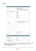### **General**

| General                                       |                                                                                                                                         |
|-----------------------------------------------|-----------------------------------------------------------------------------------------------------------------------------------------|
| Name*                                         | Australia post {day} days<br>A Variable {day} will be replaced with the estimated<br>delivery value from the corresponding CSV column   |
| Ship These Shipping Types for<br>Free         | Apple<br><b>Bulky</b><br>Empty<br>Full<br>Furniture<br>Small<br>Κλιματιστικά<br>A Products will be sent for free if the method does not |
| Comment                                       | contain rates applicable for them.<br>a.<br>A HTML tags supported                                                                       |
| <b>Status</b>                                 | Active<br>$\checkmark$                                                                                                                  |
| <b>Rates</b>                                  |                                                                                                                                         |
| Minimal rate<br>Maximal rate                  | 0.00<br>0.00                                                                                                                            |
| For products with different<br>shipping types | Sum up rates                                                                                                                            |

**Name** - the name of the shipping method which will be displayed in the list of shipping methods on cart and checkout. You can use the {day} variable here to output the text from the **Estimated Delivery (days)** column.

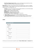**Ship These Shipping Types for Free** - products with Shipping Types selected here will be shipped for free when the method calculates rates for the order.

**Please note** that if there is only the product with the 'Free Shipping Type' in the cart, no shipping method will appear. To make it appear you should specify separate shipping rates for this particular Shipping Type or for the Shipping Type = All.

- **Comment** this text will be displayed under the shipping method on cart and checkout pages. Safe HTML tags like **,**  $u$ **,** *i* **and others are supported.**</u>
- **Status** enables or disables shipping method.
- **Minimal rate** minimal value the rate can have.
- **Maximal rate** maximal value the rate can have.
- **For products with different shipping types** can be set to:
- 1. \* **Sum up rates** to summarize rates for different Shipping Types in the cart;
- 2. \* **Select maximal\minimal rate** to use only the rate with maximal or minimal value for a specific Shipping Type when there are produces with different Shipping Types in the cart.

### **Labels**

| <b>Store View Specific Labels</b> |     |
|-----------------------------------|-----|
| <b>Main Website</b>               |     |
| <b>Main Store</b>                 |     |
| English:                          |     |
| <b>Method Label</b>               |     |
| Comment                           | аź. |
| French:                           |     |
| Method Label                      |     |
| Comment                           | иś. |
| German:                           |     |
| <b>Method Label</b>               |     |
| Comment                           | ш,  |

In this tab, you can set up store view specific values for **Name** (**Method Label**) or **Comment** fields.

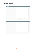### **Stores & Customer Groups**

| <b>Visible In</b>      |                                                     |  |
|------------------------|-----------------------------------------------------|--|
| Stores                 | <b>Main Website</b><br><b>Main Store</b><br>English |  |
|                        | French                                              |  |
|                        | German                                              |  |
|                        | ▲ Leave empty if there are no restrictions          |  |
| <b>Applicable For</b>  |                                                     |  |
| <b>Customer Groups</b> | NOT LOGGED IN                                       |  |
|                        | General                                             |  |
|                        | Wholesale                                           |  |
|                        | Retailer                                            |  |
|                        | ▲ Leave empty if there are no restrictions          |  |
|                        |                                                     |  |

- **Stores** controls on which stores the shipping method will display.
- **Customer Groups** restricts customer groups which will be able to use the shipping method.

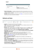### **Import**

| <b>Import Rates</b>   |                                                     |
|-----------------------|-----------------------------------------------------|
| Delete Existing Rates | No<br>$\sim$                                        |
| CSV File              | Browse   No file selected.                          |
|                       | ▲ Example file http://amasty.com/examples/rates.csv |

- **Delete Existing Rates** if enabled, all existing rates will be removed when you try to save changes or import CSV with rates. Useful when you [want to](https://amasty.com/examples/rates.csv) replace all the rates in the method with new ones from a CSV file.
- **CSV File** here you can import a CSV file with rates. **Here** you can download the sample CSV file with rates to check how the file is formatted.

### **Methods and Rates**

| Country   | <b>State</b> | City | <b>Zip From</b> | Zip To | <b>Price From</b> | <b>Price To</b> | <b>Weight From</b> | <b>Weight To</b> | <b>Qty From</b> | Qty To | <b>Shipping Type</b> | Rate  | <b>PPP</b> | <b>FRPP</b> | FRPUW | <b>Estimated Delivery (days)</b> | Action |
|-----------|--------------|------|-----------------|--------|-------------------|-----------------|--------------------|------------------|-----------------|--------|----------------------|-------|------------|-------------|-------|----------------------------------|--------|
|           |              |      |                 |        |                   |                 |                    |                  |                 |        |                      |       |            |             |       |                                  |        |
| Australia | All          |      |                 |        | 0.00              | 999999.00       | 0.0000             | 999999.0000      |                 | 999999 | All                  | 15.00 | 0.00       | 0.00        | 0.00  | 10                               | Delete |
| Australia | AII          |      | 0200            | 0299   | 0.00              | 999999.00       | 0.0000             | 500,0000         |                 | 999999 | All                  | 8.00  | 0.00       | 0.00        | 0.00  | 10                               | Delete |
| Australia | All          |      | 0200            | 0299   | 0.00              | 999999.00       | 501.0000           | 1000.0000        |                 | 999999 | All                  | 10.00 | 0.00       | 0.00        | 0.00  | 10                               | Delete |
| Australia | AII          |      | 0200            | 0299   | 0.00              | 999999.00       | 1001.0000          | 2000.0000        |                 | 999999 | All                  | 11.00 | 0.00       | 0.00        | 0.00  |                                  | Delete |

- **Country** the country for which the rate will be applied.
- **State** State condition for the rate. Please, make sure that your Magento already has all the states you want to use in conditions in its database.
- **City** City condition for the rate.
- **Zip From To** a specific postcode (when **From** and **To** values match or only **From** is filled) or postcode range. When it's filled like 'From: 35000 To: 35999' the rate will apply for all 1000 postcodes inside the 35000 - 35999 range. **UK postcode format is supported**.
- **Price From To** Price condition for the rate. **Prices for products with the same Shipping Type will be summarized**.
- **Weight From To** same as condition above, but works with Weight product attribute.
- **Qty From To** same as two above, but for product quantity in the cart.
- **Shipping Type** default value "All" which means that the rate will be applied to all products. Please check [Shipping Type](#page-1-0) section for more info on how this feature works.
- **Rate** rate value of the whole order.
- **PPP Percentage per Product** rate. Shipping will be calculated as a percentage of the product price.
- **FRPP Fixed Rate Per Product** rate. It will be calculated multiplying products quantity in the cart by the value in **FRPP** field.
- **FRPUW Fixed Rate per Unit of Weight**. The rate will be calculated based on the Weight of the product. For example, if **FRPUW** is set to 2.50 and Weight of the product in the cart is 4.55 then the calculation will be like this: **2.50\*4.64=\$11.6**
- **Estimated Delivery (days)** the text from this column will be inserted in the {day} variable which you can use in the **Name** field.

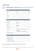### **New Rate screen**

| When you hit Methods and Rates $>$ Add new Rate button you will be presented with the following |  |  |
|-------------------------------------------------------------------------------------------------|--|--|
| screen:                                                                                         |  |  |

| <b>Destination</b>              |                                                   |  |
|---------------------------------|---------------------------------------------------|--|
| Country                         | All<br>$\checkmark$                               |  |
| State                           | All<br>$\checkmark$                               |  |
| City                            |                                                   |  |
| Zip From                        |                                                   |  |
| Zip To                          |                                                   |  |
|                                 |                                                   |  |
| <b>Conditions</b>               |                                                   |  |
| Weight From                     | 0                                                 |  |
| Weight To                       | 99999999                                          |  |
|                                 |                                                   |  |
| Qty From                        | 0                                                 |  |
| Qty To                          | 99999999                                          |  |
| Shipping Type                   | All<br>$\checkmark$                               |  |
| <b>Price From</b>               | 0                                                 |  |
|                                 | A Original product cart price, without discounts. |  |
| Price To                        | 99999999                                          |  |
|                                 | A Original product cart price, without discounts. |  |
| Estimated Delivery (days)       |                                                   |  |
| Rate                            |                                                   |  |
|                                 |                                                   |  |
| Base Rate for the Order         |                                                   |  |
| Percentage per Product          |                                                   |  |
| <b>Fixed Rate per Product</b>   |                                                   |  |
| Fixed Rate per 1 unit of weight |                                                   |  |
|                                 |                                                   |  |

Please check the description for all these fields at Methods and Rates section.

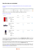## **How the rates are calculated**

[Let's say we've set up rates in our shipping method like this \(click on the screenshot to see the](https://amasty.com/docs/lib/exe/fetch.php?media=magento_1:shipping_table_rates:7-sample-rate.png) [example\).](https://amasty.com/docs/lib/exe/fetch.php?media=magento_1:shipping_table_rates:7-sample-rate.png)

| Country              | <b>State</b> | City | <b>Zip From</b> | Zip To | <b>Price From</b> | <b>Price To</b> | <b>Weight From</b> | <b>Weight To</b> | <b>Qty From</b> | <b>Qty To</b> | <b>Shipping Type</b> | Rate   | <b>PPP</b> | <b>FRPP</b> | <b>FRPUW</b> | <b>Estimated Delivery (days)</b> | Action        |
|----------------------|--------------|------|-----------------|--------|-------------------|-----------------|--------------------|------------------|-----------------|---------------|----------------------|--------|------------|-------------|--------------|----------------------------------|---------------|
| $\checkmark$         | $\sim$       |      |                 |        |                   |                 |                    |                  |                 |               |                      |        |            |             |              |                                  |               |
| <b>United States</b> | All          |      |                 |        | 0.00              | 999999.00       | 0.0000             | 10.0000          |                 | 999999        |                      | 10.00  | 0.00       | 0.00        | 0.00         |                                  | Delete        |
| <b>United States</b> |              |      |                 |        | 0.00              | 999999.00       | 11,0000            | 50,0000          |                 | 999999        |                      | 15.00  | 0.00       | 0.00        | 0.00         |                                  | <b>Delete</b> |
| <b>United States</b> | All          |      |                 |        | 0.00              | 999999.00       | 51.0000            | 100,0000         |                 | 999999        |                      | 20.00  | 0.00       | 0.00        | 0.00         |                                  | Delete        |
| <b>United States</b> |              |      |                 |        | 0.00              | 999999.00       | 101.0000           | 999999.0000      |                 | 999999        |                      | 0.00   | 0.00       | 0.00        | 0.50         |                                  | Delete        |
| <b>United States</b> | All          |      |                 |        | 0.00              | 99999999.00     | 0.0000             | 99999999.0000 0  |                 | 99999999      | <b>Bulky</b>         | 100.00 | 0.00       | 0.00        | 0.00         |                                  | <b>Delete</b> |

Things to notice: we have active conditions Shipping Type, Weight and Country.

#### [And this is my cart contents](https://amasty.com/docs/lib/exe/fetch.php?media=magento_1:shipping_table_rates:8-cart.png)

| <b>PRODUCT</b> |                                                                                                                    | <b>PRICE</b> | QTY                  | <b>SUBTOTAL</b> |      |
|----------------|--------------------------------------------------------------------------------------------------------------------|--------------|----------------------|-----------------|------|
|                | <b>ATLANT FRIDGE</b><br>SKU: acjooo6s<br><b>Shiping Type:</b><br><b>Bulky</b><br>Weight: 36                        | \$350.00     | $\mathbf 1$<br>Edit  | \$350.00        | ⋒    |
|                | <b>SUEDE LOAFER,</b><br><b>NAVY</b><br><b>SKU</b> : amso12<br><b>Shipping Type:</b><br><b>Shoes</b><br>Weight: 1.5 | \$310.00     | $\mathbf{1}$<br>Edit | \$310.00        | 侐    |
|                | <b>BOWERY CHINO</b><br><b>PANTS</b><br>SKU: mpdo0031<br><b>Shiping Type:</b><br>Pants<br>Weight: 2.2               | \$140.00     | $\mathbf{1}$<br>Edit | \$140.00        | fiir |

Since we have a rate for specific Shipping Types, in this case, **Shipping Type = Bulky**, then this rate will go first. There are no additional conditions in the rate for Shipping Type = Bulky so our fridge will have this **\$100** rate assigned.

Now we have two products with different Shipping Types left. There are no rates for Shipping Types of these products in the method, but there are some rates with **Shipping Type = All**.

If there are no rates for some Shipping Type in the method but there is a rate for Shipping Type = All then products without matching Shipping Types will be treated as having Shipping Type = All. Please check the [Shipping Type](#page-1-0) section for more info.